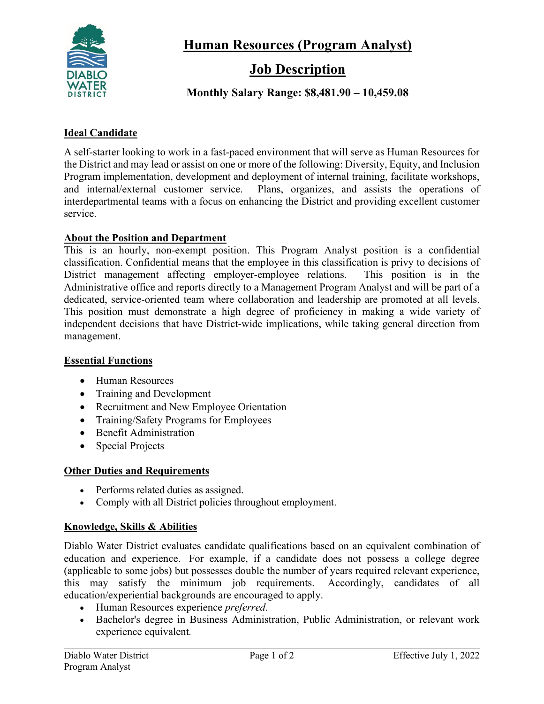

**Human Resources (Program Analyst)**

# **Job Description**

# **Monthly Salary Range: \$8,481.90 – 10,459.08**

#### **Ideal Candidate**

A self-starter looking to work in a fast-paced environment that will serve as Human Resources for the District and may lead or assist on one or more of the following: Diversity, Equity, and Inclusion Program implementation, development and deployment of internal training, facilitate workshops, and internal/external customer service. Plans, organizes, and assists the operations of interdepartmental teams with a focus on enhancing the District and providing excellent customer service.

#### **About the Position and Department**

This is an hourly, non-exempt position. This Program Analyst position is a confidential classification. Confidential means that the employee in this classification is privy to decisions of District management affecting employer-employee relations. This position is in the Administrative office and reports directly to a Management Program Analyst and will be part of a dedicated, service-oriented team where collaboration and leadership are promoted at all levels. This position must demonstrate a high degree of proficiency in making a wide variety of independent decisions that have District-wide implications, while taking general direction from management.

#### **Essential Functions**

- Human Resources
- Training and Development
- Recruitment and New Employee Orientation
- Training/Safety Programs for Employees
- Benefit Administration
- Special Projects

## **Other Duties and Requirements**

- Performs related duties as assigned.
- Comply with all District policies throughout employment.

## **Knowledge, Skills & Abilities**

Diablo Water District evaluates candidate qualifications based on an equivalent combination of education and experience. For example, if a candidate does not possess a college degree (applicable to some jobs) but possesses double the number of years required relevant experience, this may satisfy the minimum job requirements. Accordingly, candidates of all education/experiential backgrounds are encouraged to apply.

- Human Resources experience *preferred*.
- Bachelor's degree in Business Administration, Public Administration, or relevant work experience equivalent*.*